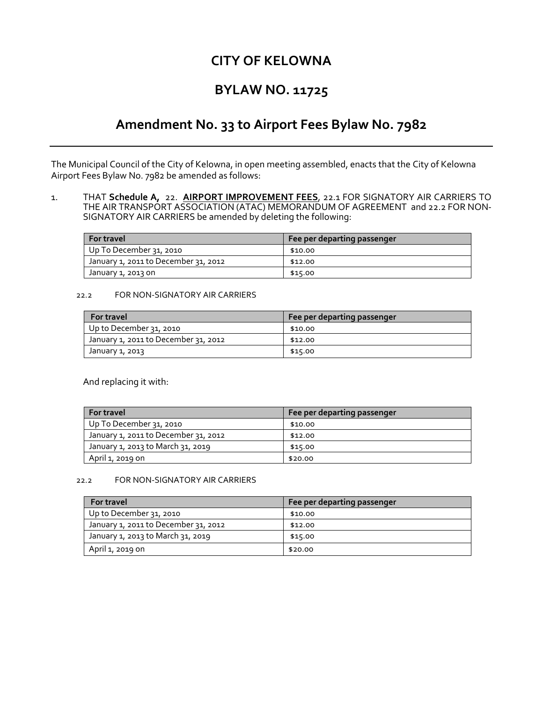## **CITY OF KELOWNA**

### **BYLAW NO. 11725**

# **Amendment No. 33 to Airport Fees Bylaw No. 7982**

The Municipal Council of the City of Kelowna, in open meeting assembled, enacts that the City of Kelowna Airport Fees Bylaw No. 7982 be amended as follows:

1. THAT **Schedule A,** 22. **AIRPORT IMPROVEMENT FEES**, 22.1 FOR SIGNATORY AIR CARRIERS TO THE AIR TRANSPORT ASSOCIATION (ATAC) MEMORANDUM OF AGREEMENT and 22.2 FOR NON-SIGNATORY AIR CARRIERS be amended by deleting the following:

| <b>For travel</b>                    | Fee per departing passenger |
|--------------------------------------|-----------------------------|
| Up To December 31, 2010              | \$10.00                     |
| January 1, 2011 to December 31, 2012 | \$12.00                     |
| January 1, 2013 on                   | \$15.00                     |

#### 22.2 FOR NON-SIGNATORY AIR CARRIERS

| <b>For travel</b>                    | Fee per departing passenger |
|--------------------------------------|-----------------------------|
| Up to December 31, 2010              | \$10.00                     |
| January 1, 2011 to December 31, 2012 | \$12.00                     |
| January 1, 2013                      | \$15.00                     |

And replacing it with:

| <b>For travel</b>                    | Fee per departing passenger |
|--------------------------------------|-----------------------------|
| Up To December 31, 2010              | \$10.00                     |
| January 1, 2011 to December 31, 2012 | \$12.00                     |
| January 1, 2013 to March 31, 2019    | \$15.00                     |
| April 1, 2019 on                     | \$20.00                     |

### 22.2 FOR NON-SIGNATORY AIR CARRIERS

| For travel                           | Fee per departing passenger |
|--------------------------------------|-----------------------------|
| Up to December 31, 2010              | \$10.00                     |
| January 1, 2011 to December 31, 2012 | \$12.00                     |
| January 1, 2013 to March 31, 2019    | \$15.00                     |
| April 1, 2019 on                     | \$20.00                     |